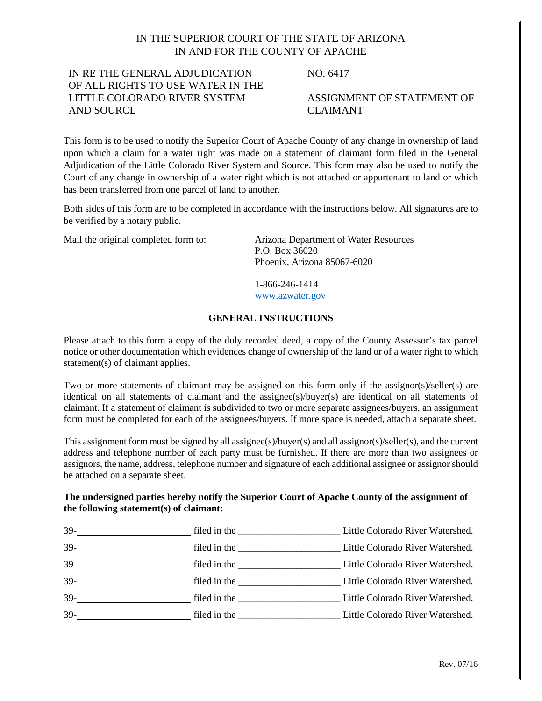# IN THE SUPERIOR COURT OF THE STATE OF ARIZONA IN AND FOR THE COUNTY OF APACHE

### IN RE THE GENERAL ADJUDICATION OF ALL RIGHTS TO USE WATER IN THE LITTLE COLORADO RIVER SYSTEM AND SOURCE

NO. 6417

ASSIGNMENT OF STATEMENT OF CLAIMANT

This form is to be used to notify the Superior Court of Apache County of any change in ownership of land upon which a claim for a water right was made on a statement of claimant form filed in the General Adjudication of the Little Colorado River System and Source. This form may also be used to notify the Court of any change in ownership of a water right which is not attached or appurtenant to land or which has been transferred from one parcel of land to another.

Both sides of this form are to be completed in accordance with the instructions below. All signatures are to be verified by a notary public.

Mail the original completed form to: Arizona Department of Water Resources P.O. Box 36020 Phoenix, Arizona 85067-6020

> 1-866-246-1414 [www.azwater.gov](http://www.azwater.gov/)

#### **GENERAL INSTRUCTIONS**

Please attach to this form a copy of the duly recorded deed, a copy of the County Assessor's tax parcel notice or other documentation which evidences change of ownership of the land or of a water right to which statement(s) of claimant applies.

Two or more statements of claimant may be assigned on this form only if the assignor(s)/seller(s) are identical on all statements of claimant and the assignee(s)/buyer(s) are identical on all statements of claimant. If a statement of claimant is subdivided to two or more separate assignees/buyers, an assignment form must be completed for each of the assignees/buyers. If more space is needed, attach a separate sheet.

This assignment form must be signed by all assignee(s)/buyer(s) and all assignor(s)/seller(s), and the current address and telephone number of each party must be furnished. If there are more than two assignees or assignors, the name, address, telephone number and signature of each additional assignee or assignor should be attached on a separate sheet.

#### **The undersigned parties hereby notify the Superior Court of Apache County of the assignment of the following statement(s) of claimant:**

| $39-$<br><u> 1980 - Jan Stein Stein Stein Stein Stein Stein Stein Stein Stein Stein Stein Stein Stein Stein Stein Stein S</u> |                                                                                                                                                                                                                               | Little Colorado River Watershed. |
|-------------------------------------------------------------------------------------------------------------------------------|-------------------------------------------------------------------------------------------------------------------------------------------------------------------------------------------------------------------------------|----------------------------------|
| $39-$                                                                                                                         | filed in the <u>Ultra Colorado River Watershed.</u>                                                                                                                                                                           |                                  |
| $39-$                                                                                                                         | filed in the <u>Ultra Colorado River Watershed.</u>                                                                                                                                                                           |                                  |
| $39-$<br><u> 1989 - Jan Barbara Barbara, prima popula</u>                                                                     | filed in the <u>coloration in Little Colorado River Watershed</u> .                                                                                                                                                           |                                  |
|                                                                                                                               | filed in the same state of the state of the state of the state of the state of the state of the state of the state of the state of the state of the state of the state of the state of the state of the state of the state of | Little Colorado River Watershed. |
| $39-$                                                                                                                         | filed in the <u>Ultra Colorado River Watershed.</u>                                                                                                                                                                           |                                  |